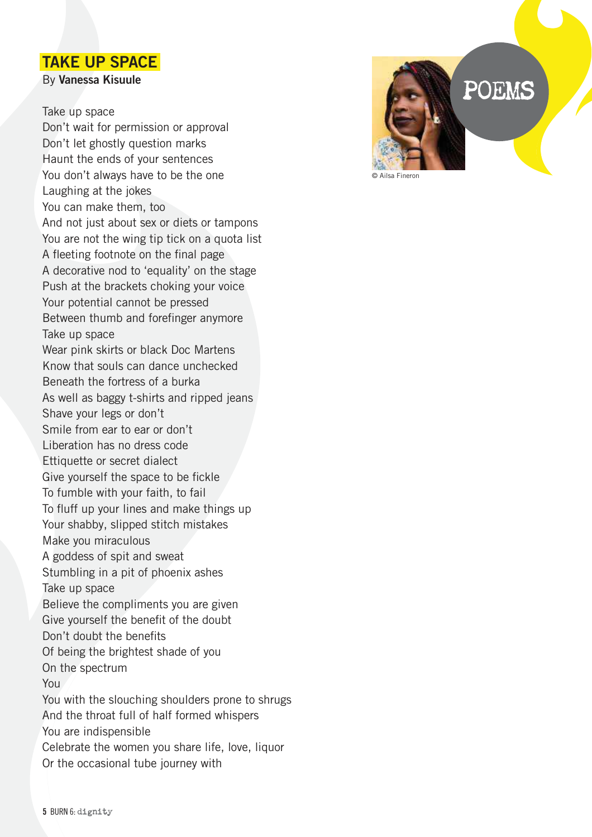## TAKE UP SPACE

By Vanessa Kisuule

## Take up space

Don't wait for permission or approval Don't let ghostly question marks Haunt the ends of your sentences You don't always have to be the one Laughing at the jokes You can make them, too And not just about sex or diets or tampons You are not the wing tip tick on a quota list A fleeting footnote on the final page A decorative nod to 'equality' on the stage Push at the brackets choking your voice Your potential cannot be pressed Between thumb and forefinger anymore Take up space Wear pink skirts or black Doc Martens Know that souls can dance unchecked Beneath the fortress of a burka As well as baggy t-shirts and ripped jeans Shave your legs or don't Smile from ear to ear or don't Liberation has no dress code Ettiquette or secret dialect Give yourself the space to be fickle To fumble with your faith, to fail To fluff up your lines and make things up Your shabby, slipped stitch mistakes Make you miraculous A goddess of spit and sweat Stumbling in a pit of phoenix ashes Take up space Believe the compliments you are given Give yourself the benefit of the doubt Don't doubt the benefits Of being the brightest shade of you On the spectrum You You with the slouching shoulders prone to shrugs And the throat full of half formed whispers You are indispensible Celebrate the women you share life, love, liquor Or the occasional tube journey with

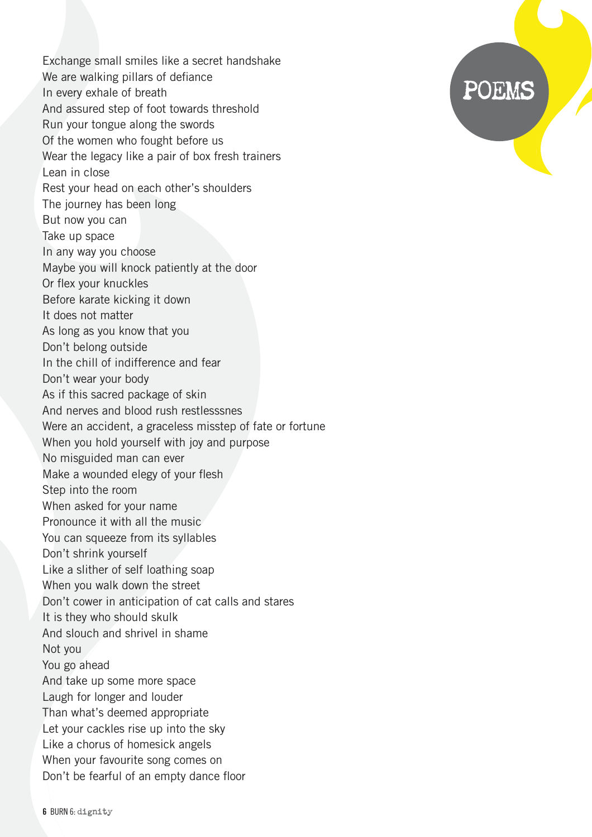Exchange small smiles like a secret handshake We are walking pillars of defiance In every exhale of breath And assured step of foot towards threshold Run your tongue along the swords Of the women who fought before us Wear the legacy like a pair of box fresh trainers Lean in close Rest your head on each other's shoulders The journey has been long But now you can Take up space In any way you choose Maybe you will knock patiently at the door Or flex your knuckles Before karate kicking it down It does not matter As long as you know that you Don't belong outside In the chill of indifference and fear Don't wear your body As if this sacred package of skin And nerves and blood rush restlesssnes Were an accident, a graceless misstep of fate or fortune When you hold yourself with joy and purpose No misguided man can ever Make a wounded elegy of your flesh Step into the room When asked for your name Pronounce it with all the music You can squeeze from its syllables Don't shrink yourself Like a slither of self loathing soap When you walk down the street Don't cower in anticipation of cat calls and stares It is they who should skulk And slouch and shrivel in shame Not you You go ahead And take up some more space Laugh for longer and louder Than what's deemed appropriate Let your cackles rise up into the sky Like a chorus of homesick angels When your favourite song comes on Don't be fearful of an empty dance floor

## POEMS